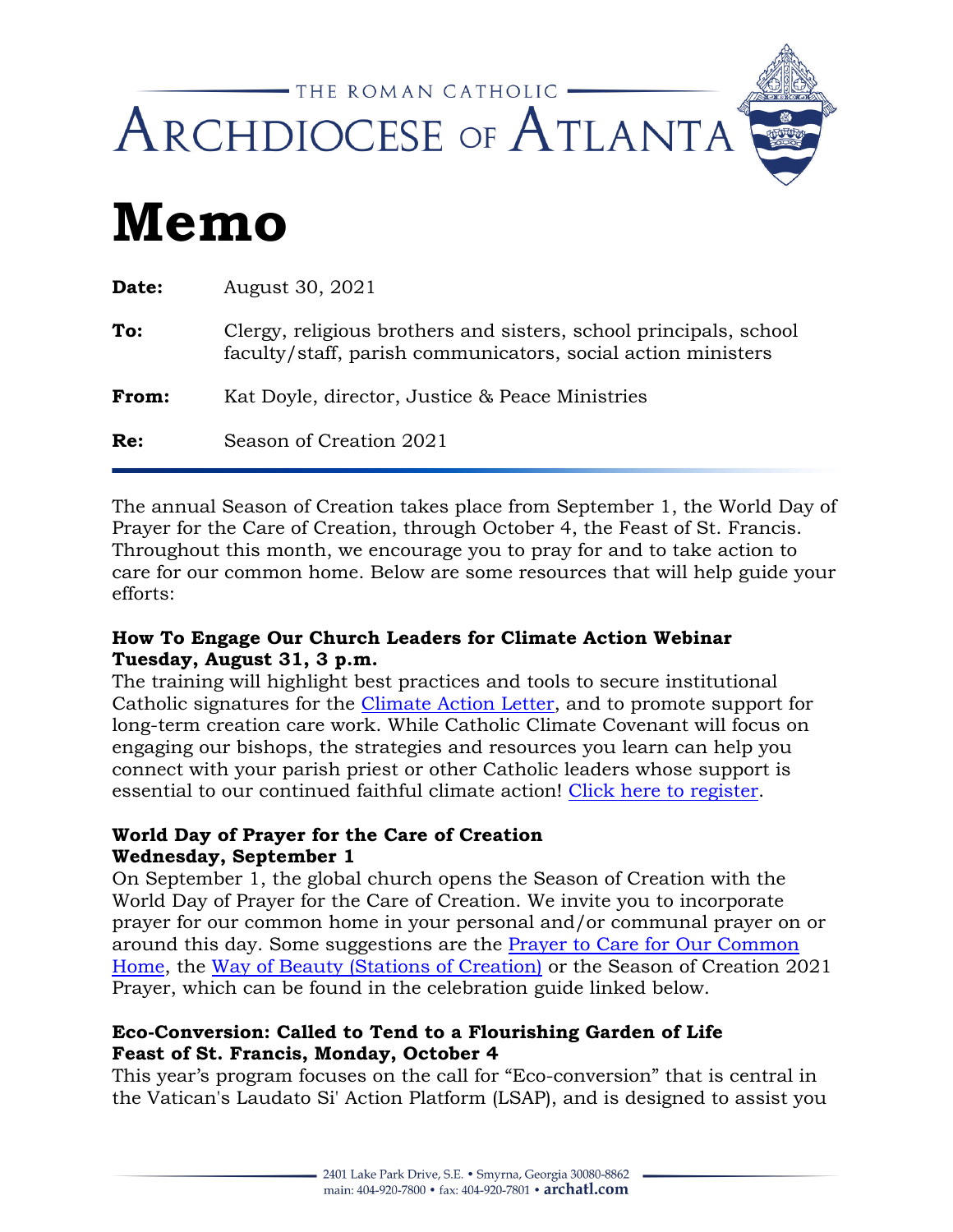

# **Memo**

| <b>Date:</b> | August 30, 2021                                                                                                                   |
|--------------|-----------------------------------------------------------------------------------------------------------------------------------|
| To:          | Clergy, religious brothers and sisters, school principals, school<br>faculty/staff, parish communicators, social action ministers |
| <b>From:</b> | Kat Doyle, director, Justice & Peace Ministries                                                                                   |
| Re:          | Season of Creation 2021                                                                                                           |
|              |                                                                                                                                   |

The annual Season of Creation takes place from September 1, the World Day of Prayer for the Care of Creation, through October 4, the Feast of St. Francis. Throughout this month, we encourage you to pray for and to take action to care for our common home. Below are some resources that will help guide your efforts:

### **How To Engage Our Church Leaders for Climate Action Webinar Tuesday, August 31, 3 p.m.**

The training will highlight best practices and tools to secure institutional Catholic signatures for the [Climate Action Letter,](https://godsplanet.us/catholic-climate-petition-individuals) and to promote support for long-term creation care work. While Catholic Climate Covenant will focus on engaging our bishops, the strategies and resources you learn can help you connect with your parish priest or other Catholic leaders whose support is essential to our continued faithful climate action! [Click here to register.](https://us02web.zoom.us/webinar/register/WN_C9J1XZp7SUeDn-p_1M-6-w)

# **World Day of Prayer for the Care of Creation Wednesday, September 1**

On September 1, the global church opens the Season of Creation with the World Day of Prayer for the Care of Creation. We invite you to incorporate prayer for our common home in your personal and/or communal prayer on or around this day. Some suggestions are the [Prayer to Care for Our Common](https://www.usccb.org/prayers/prayer-care-our-common-home)  [Home,](https://www.usccb.org/prayers/prayer-care-our-common-home) the [Way of Beauty \(Stations of Creation\)](https://seasonofcreation.org/wp-content/uploads/2020/09/Way-of-beauty-8.pdf) or the Season of Creation 2021 Prayer, which can be found in the celebration guide linked below.

# **Eco-Conversion: Called to Tend to a Flourishing Garden of Life Feast of St. Francis, Monday, October 4**

This year's program focuses on the call for "Eco-conversion" that is central in the Vatican's Laudato Si' Action Platform (LSAP), and is designed to assist you